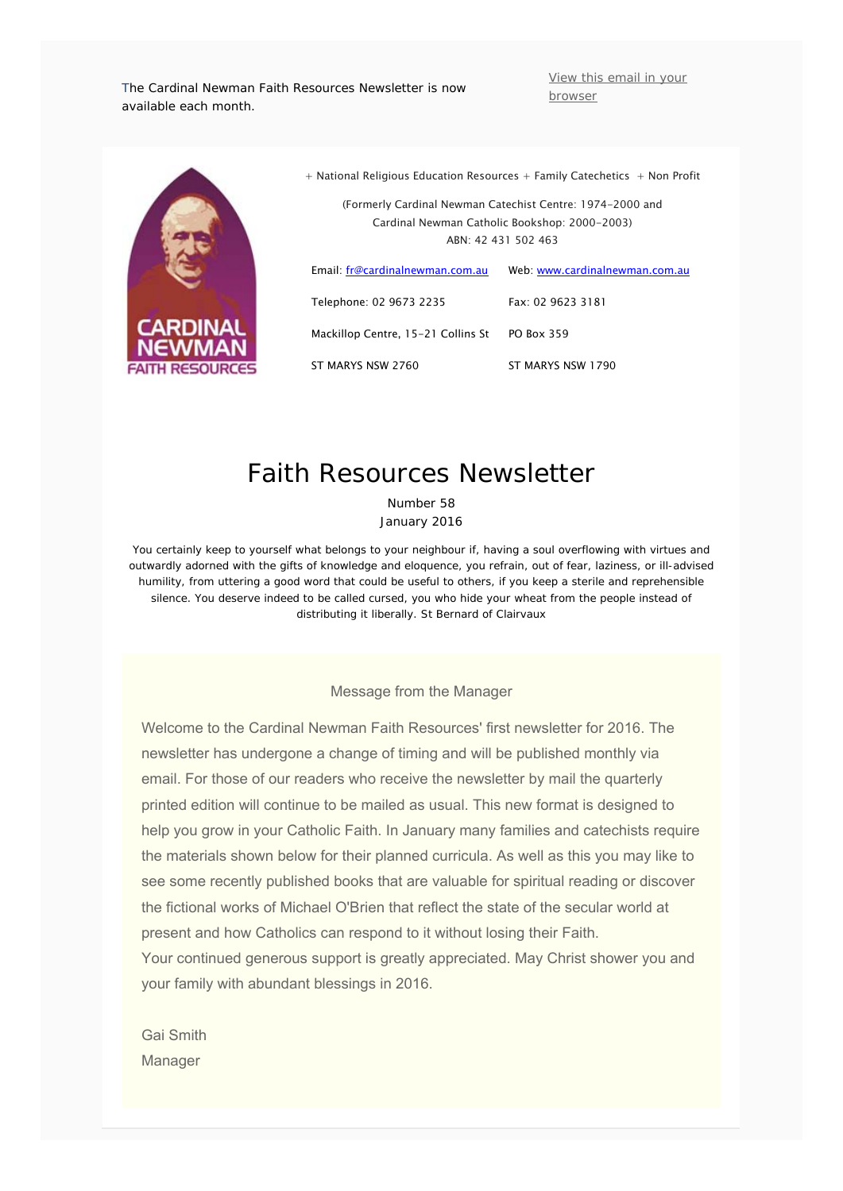The Cardinal Newman Faith Resources Newsletter is now available each month.

View this email in your browser



| Cardinal Newman Catholic Bookshop: 2000-2003)<br>ARN: 42 431 502 463 |                                |
|----------------------------------------------------------------------|--------------------------------|
| Email: fr@cardinalnewman.com.au                                      | Web: www.cardinalnewman.com.au |
| Telephone: 02 9673 2235                                              | $Fax$ 02 9623 3181             |
| Mackillop Centre, 15-21 Collins St                                   | PO Box 359                     |
| ST MARYS NSW 2760                                                    | ST MARYS NSW 1790              |

+ National Religious Education Resources + Family Catechetics + Non Profit

(Formerly Cardinal Newman Catechist Centre: 1974-2000 and

# Faith Resources Newsletter

Number 58 January 2016

*You certainly keep to yourself what belongs to your neighbour if, having a soul overflowing with virtues and outwardly adorned with the gifts of knowledge and eloquence, you refrain, out of fear, laziness, or ill-advised humility, from uttering a good word that could be useful to others, if you keep a sterile and reprehensible silence. You deserve indeed to be called cursed, you who hide your wheat from the people instead of distributing it liberally*. St Bernard of Clairvaux

Message from the Manager

Welcome to the Cardinal Newman Faith Resources' first newsletter for 2016. The newsletter has undergone a change of timing and will be published monthly via email. For those of our readers who receive the newsletter by mail the quarterly printed edition will continue to be mailed as usual. This new format is designed to help you grow in your Catholic Faith. In January many families and catechists require the materials shown below for their planned curricula. As well as this you may like to see some recently published books that are valuable for spiritual reading or discover the fictional works of Michael O'Brien that reflect the state of the secular world at present and how Catholics can respond to it without losing their Faith.

Your continued generous support is greatly appreciated. May Christ shower you and your family with abundant blessings in 2016.

Gai Smith Manager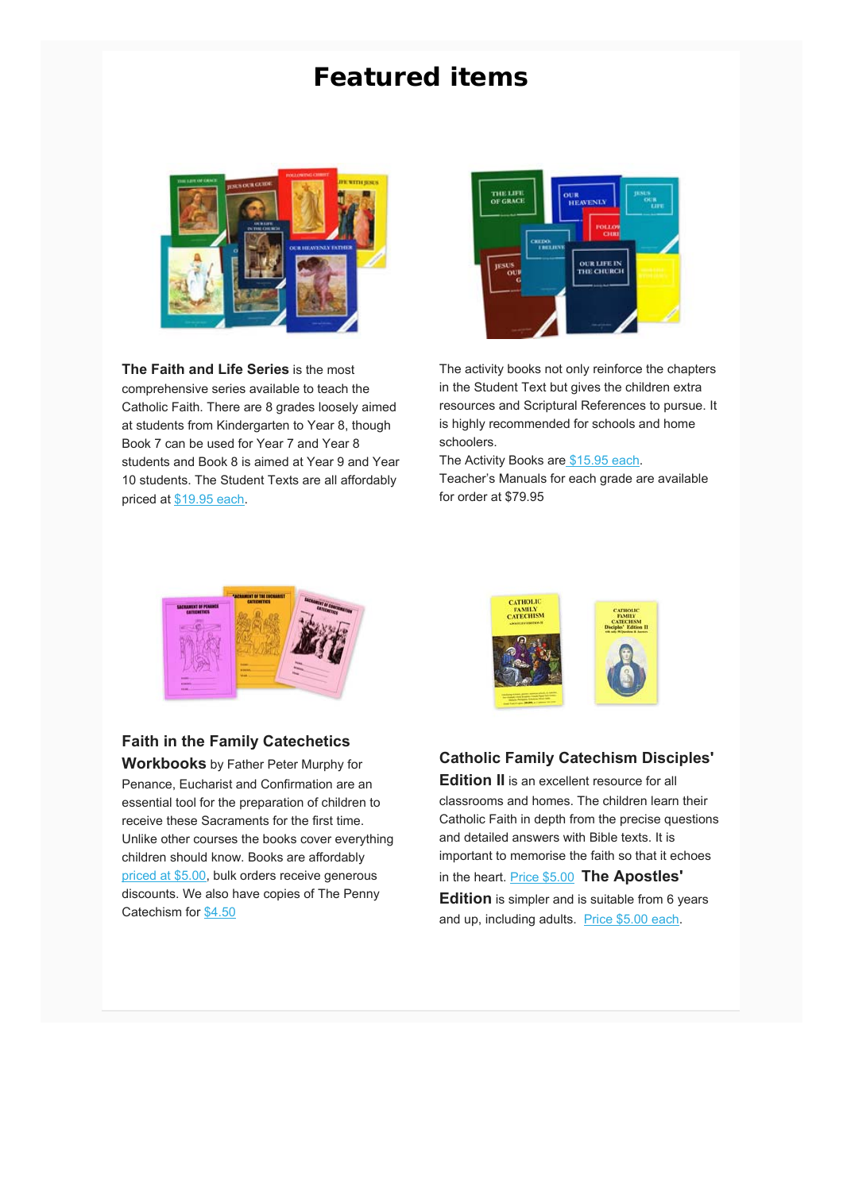# **Featured items**



**The Faith and Life Series** is the most comprehensive series available to teach the Catholic Faith. There are 8 grades loosely aimed at students from Kindergarten to Year 8, though Book 7 can be used for Year 7 and Year 8 students and Book 8 is aimed at Year 9 and Year 10 students. The Student Texts are all affordably priced at \$19.95 each.



The activity books not only reinforce the chapters in the Student Text but gives the children extra resources and Scriptural References to pursue. It is highly recommended for schools and home schoolers.

The Activity Books are \$15.95 each.

Teacher's Manuals for each grade are available for order at \$79.95



## **Faith in the Family Catechetics**

**Workbooks** by Father Peter Murphy for Penance, Eucharist and Confirmation are an essential tool for the preparation of children to receive these Sacraments for the first time. Unlike other courses the books cover everything children should know. Books are affordably priced at \$5.00, bulk orders receive generous discounts. We also have copies of The Penny Catechism for \$4.50



**Edition II** is an excellent resource for all classrooms and homes. The children learn their Catholic Faith in depth from the precise questions and detailed answers with Bible texts. It is important to memorise the faith so that it echoes in the heart. Price \$5.00 **The Apostles' Edition** is simpler and is suitable from 6 years and up, including adults. Price \$5.00 each.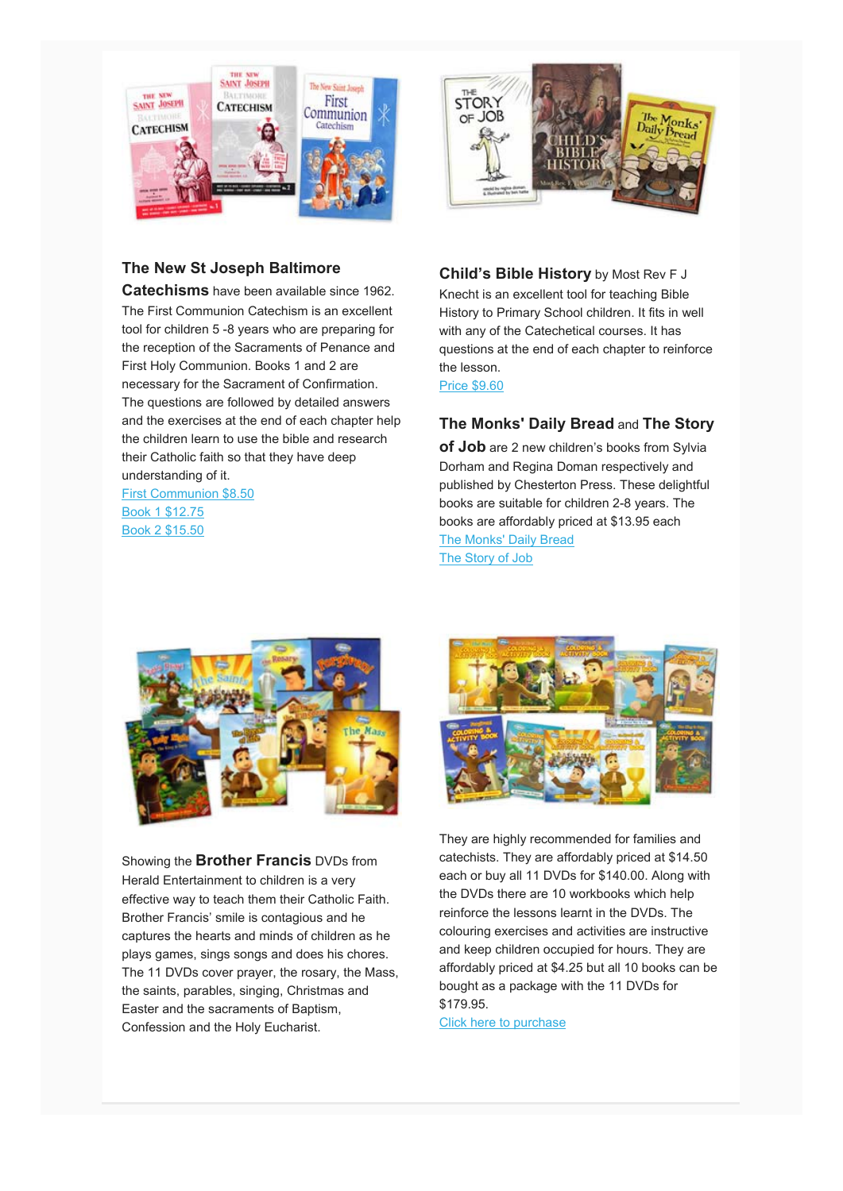

## **The New St Joseph Baltimore**

**Catechisms** have been available since 1962. The First Communion Catechism is an excellent tool for children 5 -8 years who are preparing for the reception of the Sacraments of Penance and First Holy Communion. Books 1 and 2 are necessary for the Sacrament of Confirmation. The questions are followed by detailed answers and the exercises at the end of each chapter help the children learn to use the bible and research their Catholic faith so that they have deep understanding of it.

First Communion \$8.50 Book 1 \$12.75 Book 2 \$15.50



**Child's Bible History** by Most Rev F J Knecht is an excellent tool for teaching Bible History to Primary School children. It fits in well with any of the Catechetical courses. It has questions at the end of each chapter to reinforce the lesson.

Price \$9.60

## **The Monks' Daily Bread** and **The Story**

**of Job** are 2 new children's books from Sylvia Dorham and Regina Doman respectively and published by Chesterton Press. These delightful books are suitable for children 2-8 years. The books are affordably priced at \$13.95 each The Monks' Daily Bread The Story of Job



Showing the **Brother Francis** DVDs from Herald Entertainment to children is a very effective way to teach them their Catholic Faith. Brother Francis' smile is contagious and he captures the hearts and minds of children as he plays games, sings songs and does his chores. The 11 DVDs cover prayer, the rosary, the Mass, the saints, parables, singing, Christmas and Easter and the sacraments of Baptism, Confession and the Holy Eucharist.



They are highly recommended for families and catechists. They are affordably priced at \$14.50 each or buy all 11 DVDs for \$140.00. Along with the DVDs there are 10 workbooks which help reinforce the lessons learnt in the DVDs. The colouring exercises and activities are instructive and keep children occupied for hours. They are affordably priced at \$4.25 but all 10 books can be bought as a package with the 11 DVDs for \$179.95.

Click here to purchase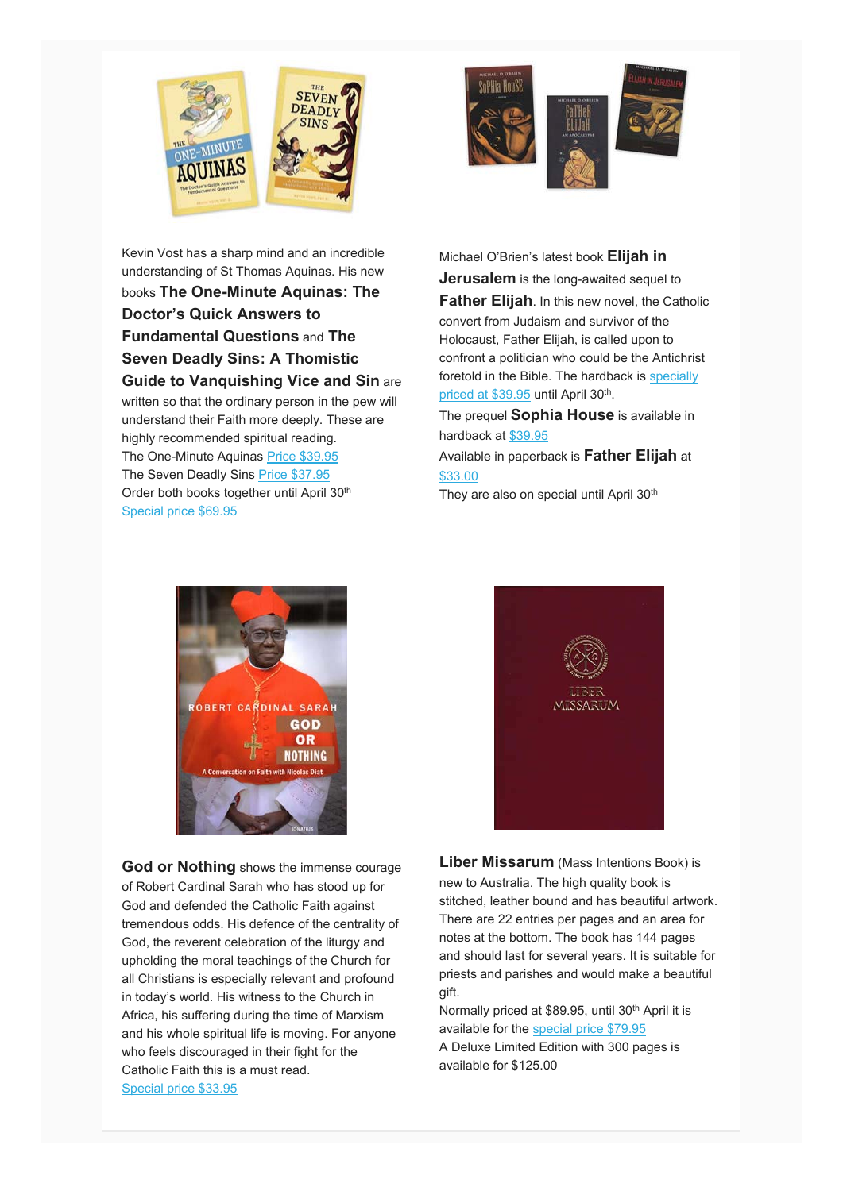



Kevin Vost has a sharp mind and an incredible understanding of St Thomas Aquinas. His new books **The One-Minute Aquinas: The Doctor's Quick Answers to Fundamental Questions** and **The Seven Deadly Sins: A Thomistic Guide to Vanquishing Vice and Sin** are written so that the ordinary person in the pew will understand their Faith more deeply. These are highly recommended spiritual reading. The One-Minute Aquinas Price \$39.95 The Seven Deadly Sins Price \$37.95 Order both books together until April 30<sup>th</sup> Special price \$69.95

Michael O'Brien's latest book **Elijah in Jerusalem** is the long-awaited sequel to **Father Elijah**. In this new novel, the Catholic convert from Judaism and survivor of the Holocaust, Father Elijah, is called upon to confront a politician who could be the Antichrist foretold in the Bible. The hardback is specially priced at \$39.95 until April 30<sup>th</sup>.

The prequel **Sophia House** is available in hardback at \$39.95

Available in paperback is **Father Elijah** at \$33.00

They are also on special until April 30<sup>th</sup>



**God or Nothing** shows the immense courage of Robert Cardinal Sarah who has stood up for God and defended the Catholic Faith against tremendous odds. His defence of the centrality of God, the reverent celebration of the liturgy and upholding the moral teachings of the Church for all Christians is especially relevant and profound in today's world. His witness to the Church in Africa, his suffering during the time of Marxism and his whole spiritual life is moving. For anyone who feels discouraged in their fight for the Catholic Faith this is a must read. Special price \$33.95



**Liber Missarum** (Mass Intentions Book) is new to Australia. The high quality book is stitched, leather bound and has beautiful artwork. There are 22 entries per pages and an area for notes at the bottom. The book has 144 pages and should last for several years. It is suitable for priests and parishes and would make a beautiful gift.

Normally priced at \$89.95, until 30<sup>th</sup> April it is available for the special price \$79.95 A Deluxe Limited Edition with 300 pages is available for \$125.00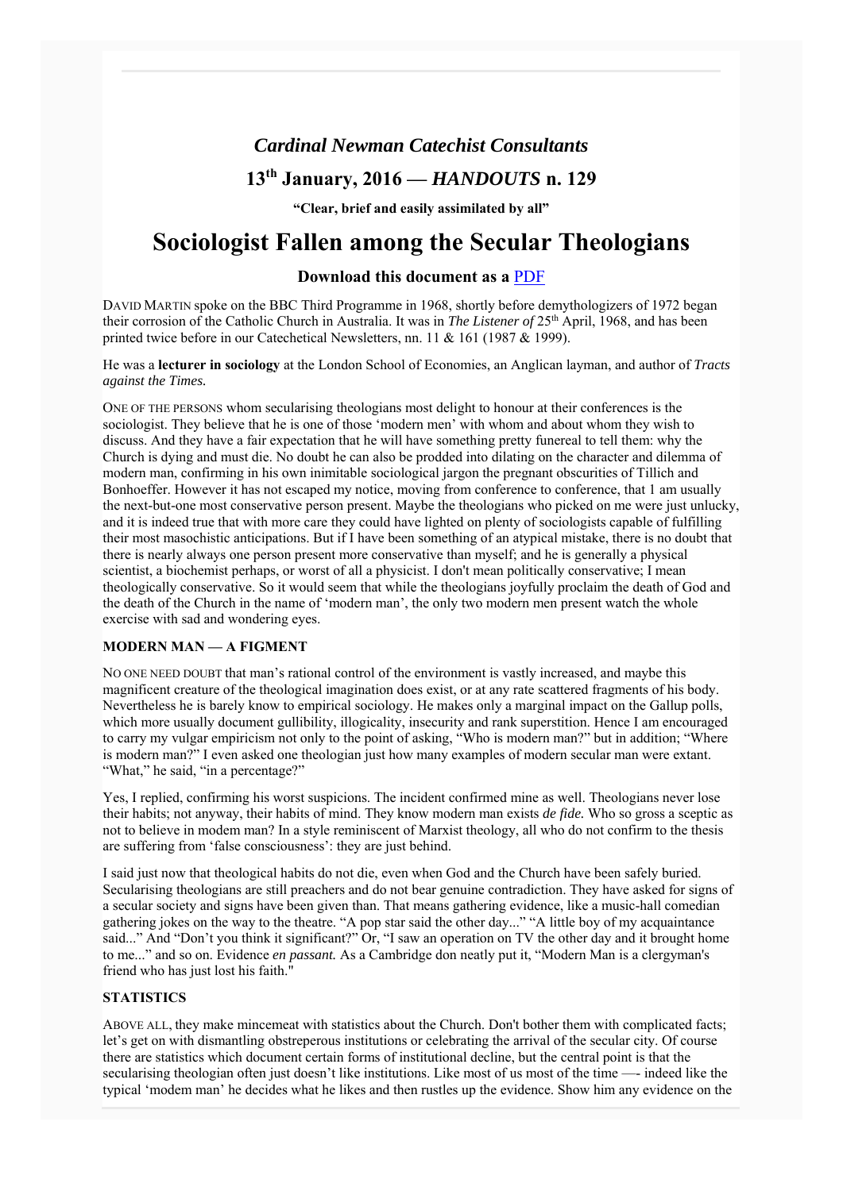## *Cardinal Newman Catechist Consultants*

## **13th January, 2016 —** *HANDOUTS* **n. 129**

**"Clear, brief and easily assimilated by all"**

# **Sociologist Fallen among the Secular Theologians**

## **Download this document as a** PDF

DAVID MARTIN spoke on the BBC Third Programme in 1968, shortly before demythologizers of 1972 began their corrosion of the Catholic Church in Australia. It was in *The Listener of* 25th April, 1968, and has been printed twice before in our Catechetical Newsletters, nn. 11 & 161 (1987 & 1999).

He was a **lecturer in sociology** at the London School of Economies, an Anglican layman, and author of *Tracts against the Times.*

ONE OF THE PERSONS whom secularising theologians most delight to honour at their conferences is the sociologist. They believe that he is one of those 'modern men' with whom and about whom they wish to discuss. And they have a fair expectation that he will have something pretty funereal to tell them: why the Church is dying and must die. No doubt he can also be prodded into dilating on the character and dilemma of modern man, confirming in his own inimitable sociological jargon the pregnant obscurities of Tillich and Bonhoeffer. However it has not escaped my notice, moving from conference to conference, that 1 am usually the next-but-one most conservative person present. Maybe the theologians who picked on me were just unlucky, and it is indeed true that with more care they could have lighted on plenty of sociologists capable of fulfilling their most masochistic anticipations. But if I have been something of an atypical mistake, there is no doubt that there is nearly always one person present more conservative than myself; and he is generally a physical scientist, a biochemist perhaps, or worst of all a physicist. I don't mean politically conservative; I mean theologically conservative. So it would seem that while the theologians joyfully proclaim the death of God and the death of the Church in the name of 'modern man', the only two modern men present watch the whole exercise with sad and wondering eyes.

### **MODERN MAN — A FIGMENT**

NO ONE NEED DOUBT that man's rational control of the environment is vastly increased, and maybe this magnificent creature of the theological imagination does exist, or at any rate scattered fragments of his body. Nevertheless he is barely know to empirical sociology. He makes only a marginal impact on the Gallup polls, which more usually document gullibility, illogicality, insecurity and rank superstition. Hence I am encouraged to carry my vulgar empiricism not only to the point of asking, "Who is modern man?" but in addition; "Where is modern man?" I even asked one theologian just how many examples of modern secular man were extant. "What," he said, "in a percentage?"

Yes, I replied, confirming his worst suspicions. The incident confirmed mine as well. Theologians never lose their habits; not anyway, their habits of mind. They know modern man exists *de fide.* Who so gross a sceptic as not to believe in modem man? In a style reminiscent of Marxist theology, all who do not confirm to the thesis are suffering from 'false consciousness': they are just behind.

I said just now that theological habits do not die, even when God and the Church have been safely buried. Secularising theologians are still preachers and do not bear genuine contradiction. They have asked for signs of a secular society and signs have been given than. That means gathering evidence, like a music-hall comedian gathering jokes on the way to the theatre. "A pop star said the other day..." "A little boy of my acquaintance said..." And "Don't you think it significant?" Or, "I saw an operation on TV the other day and it brought home to me..." and so on. Evidence *en passant.* As a Cambridge don neatly put it, "Modern Man is a clergyman's friend who has just lost his faith."

#### **STATISTICS**

ABOVE ALL, they make mincemeat with statistics about the Church. Don't bother them with complicated facts; let's get on with dismantling obstreperous institutions or celebrating the arrival of the secular city. Of course there are statistics which document certain forms of institutional decline, but the central point is that the secularising theologian often just doesn't like institutions. Like most of us most of the time —- indeed like the typical 'modem man' he decides what he likes and then rustles up the evidence. Show him any evidence on the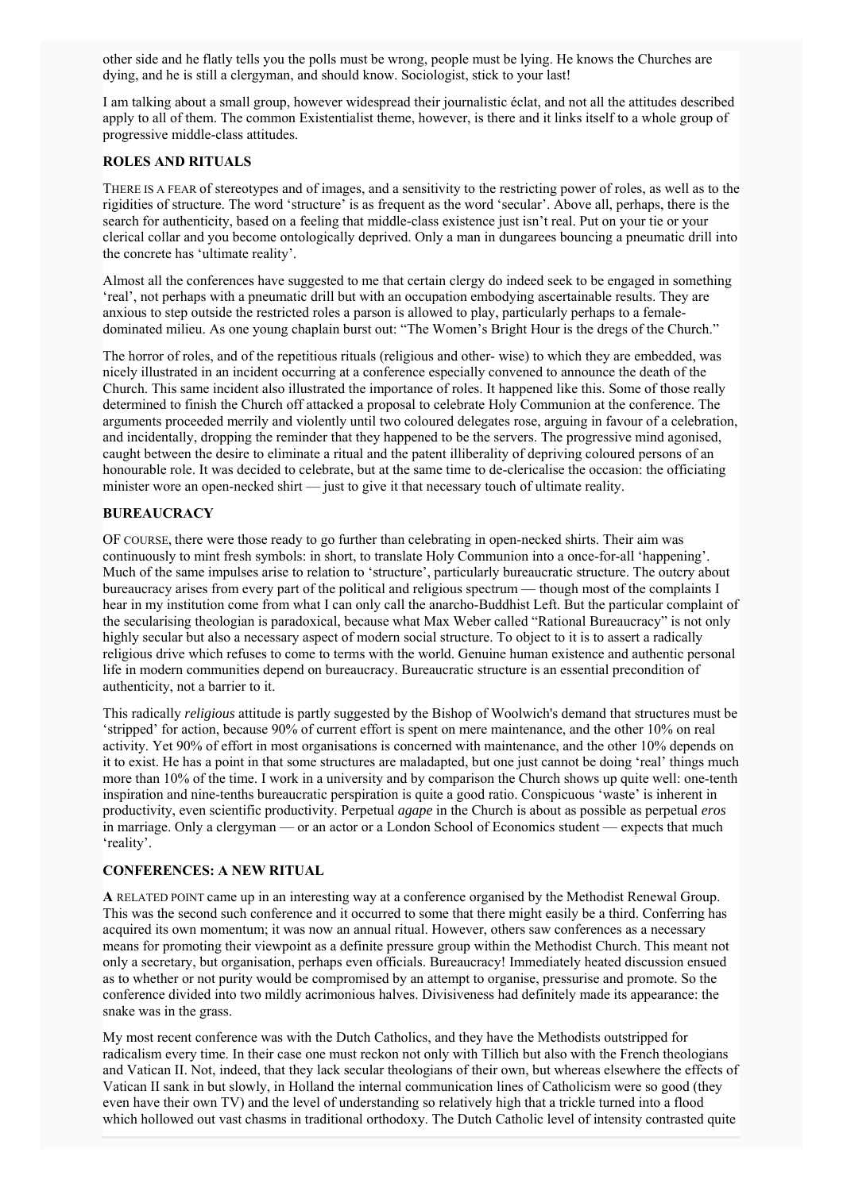other side and he flatly tells you the polls must be wrong, people must be lying. He knows the Churches are dying, and he is still a clergyman, and should know. Sociologist, stick to your last!

I am talking about a small group, however widespread their journalistic éclat, and not all the attitudes described apply to all of them. The common Existentialist theme, however, is there and it links itself to a whole group of progressive middle-class attitudes.

#### **ROLES AND RITUALS**

THERE IS A FEAR of stereotypes and of images, and a sensitivity to the restricting power of roles, as well as to the rigidities of structure. The word 'structure' is as frequent as the word 'secular'. Above all, perhaps, there is the search for authenticity, based on a feeling that middle-class existence just isn't real. Put on your tie or your clerical collar and you become ontologically deprived. Only a man in dungarees bouncing a pneumatic drill into the concrete has 'ultimate reality'.

Almost all the conferences have suggested to me that certain clergy do indeed seek to be engaged in something 'real', not perhaps with a pneumatic drill but with an occupation embodying ascertainable results. They are anxious to step outside the restricted roles a parson is allowed to play, particularly perhaps to a femaledominated milieu. As one young chaplain burst out: "The Women's Bright Hour is the dregs of the Church."

The horror of roles, and of the repetitious rituals (religious and other- wise) to which they are embedded, was nicely illustrated in an incident occurring at a conference especially convened to announce the death of the Church. This same incident also illustrated the importance of roles. It happened like this. Some of those really determined to finish the Church off attacked a proposal to celebrate Holy Communion at the conference. The arguments proceeded merrily and violently until two coloured delegates rose, arguing in favour of a celebration, and incidentally, dropping the reminder that they happened to be the servers. The progressive mind agonised, caught between the desire to eliminate a ritual and the patent illiberality of depriving coloured persons of an honourable role. It was decided to celebrate, but at the same time to de-clericalise the occasion: the officiating minister wore an open-necked shirt — just to give it that necessary touch of ultimate reality.

#### **BUREAUCRACY**

OF COURSE, there were those ready to go further than celebrating in open-necked shirts. Their aim was continuously to mint fresh symbols: in short, to translate Holy Communion into a once-for-all 'happening'. Much of the same impulses arise to relation to 'structure', particularly bureaucratic structure. The outcry about bureaucracy arises from every part of the political and religious spectrum — though most of the complaints I hear in my institution come from what I can only call the anarcho-Buddhist Left. But the particular complaint of the secularising theologian is paradoxical, because what Max Weber called "Rational Bureaucracy" is not only highly secular but also a necessary aspect of modern social structure. To object to it is to assert a radically religious drive which refuses to come to terms with the world. Genuine human existence and authentic personal life in modern communities depend on bureaucracy. Bureaucratic structure is an essential precondition of authenticity, not a barrier to it.

This radically *religious* attitude is partly suggested by the Bishop of Woolwich's demand that structures must be 'stripped' for action, because 90% of current effort is spent on mere maintenance, and the other 10% on real activity. Yet 90% of effort in most organisations is concerned with maintenance, and the other 10% depends on it to exist. He has a point in that some structures are maladapted, but one just cannot be doing 'real' things much more than 10% of the time. I work in a university and by comparison the Church shows up quite well: one-tenth inspiration and nine-tenths bureaucratic perspiration is quite a good ratio. Conspicuous 'waste' is inherent in productivity, even scientific productivity. Perpetual *agape* in the Church is about as possible as perpetual *eros* in marriage. Only a clergyman — or an actor or a London School of Economics student — expects that much 'reality'.

#### **CONFERENCES: A NEW RITUAL**

**A** RELATED POINT came up in an interesting way at a conference organised by the Methodist Renewal Group. This was the second such conference and it occurred to some that there might easily be a third. Conferring has acquired its own momentum; it was now an annual ritual. However, others saw conferences as a necessary means for promoting their viewpoint as a definite pressure group within the Methodist Church. This meant not only a secretary, but organisation, perhaps even officials. Bureaucracy! Immediately heated discussion ensued as to whether or not purity would be compromised by an attempt to organise, pressurise and promote. So the conference divided into two mildly acrimonious halves. Divisiveness had definitely made its appearance: the snake was in the grass.

My most recent conference was with the Dutch Catholics, and they have the Methodists outstripped for radicalism every time. In their case one must reckon not only with Tillich but also with the French theologians and Vatican II. Not, indeed, that they lack secular theologians of their own, but whereas elsewhere the effects of Vatican II sank in but slowly, in Holland the internal communication lines of Catholicism were so good (they even have their own TV) and the level of understanding so relatively high that a trickle turned into a flood which hollowed out vast chasms in traditional orthodoxy. The Dutch Catholic level of intensity contrasted quite